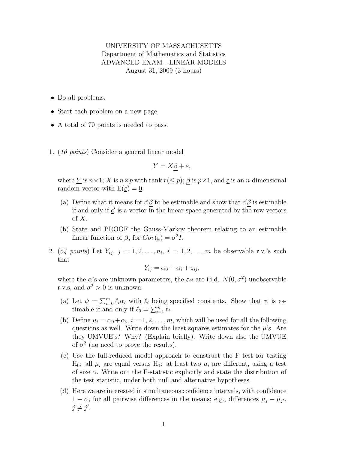## UNIVERSITY OF MASSACHUSETTS Department of Mathematics and Statistics ADVANCED EXAM - LINEAR MODELS August 31, 2009 (3 hours)

- Do all problems.
- Start each problem on a new page.
- A total of 70 points is needed to pass.
- 1. (16 points) Consider a general linear model

$$
\underline{Y} = X\beta + \underline{\varepsilon},
$$

where  $\underline{Y}$  is  $n \times 1$ ; X is  $n \times p$  with rank  $r(\leq p)$ ;  $\beta$  is  $p \times 1$ , and  $\underline{\varepsilon}$  is an *n*-dimensional random vector with  $E(\underline{\varepsilon}) = 0$ .

- (a) Define what it means for  $c' \beta$  to be estimable and show that  $c' \beta$  is estimable if and only if  $\underline{c}'$  is a vector in the linear space generated by the row vectors of  $X$ .
- (b) State and PROOF the Gauss-Markov theorem relating to an estimable linear function of  $\beta$ , for  $Cov(\underline{\varepsilon}) = \sigma^2 I$ .
- 2. (54 points) Let  $Y_{ij}$ ,  $j = 1, 2, \ldots, n_i$ ,  $i = 1, 2, \ldots, m$  be observable r.v.'s such that

$$
Y_{ij} = \alpha_0 + \alpha_i + \varepsilon_{ij},
$$

where the  $\alpha$ 's are unknown parameters, the  $\varepsilon_{ij}$  are i.i.d.  $N(0, \sigma^2)$  unobservable r.v.s, and  $\sigma^2 > 0$  is unknown.

- (a) Let  $\psi = \sum_{i=0}^m \ell_i \alpha_i$  with  $\ell_i$  being specified constants. Show that  $\psi$  is estimable if and only if  $\ell_0 = \sum_{i=1}^m \ell_i$ .
- (b) Define  $\mu_i = \alpha_0 + \alpha_i$ ,  $i = 1, 2, ..., m$ , which will be used for all the following questions as well. Write down the least squares estimates for the  $\mu$ 's. Are they UMVUE's? Why? (Explain briefly). Write down also the UMVUE of  $\sigma^2$  (no need to prove the results).
- (c) Use the full-reduced model approach to construct the F test for testing  $H_0$ : all  $\mu_i$  are equal versus  $H_1$ : at least two  $\mu_i$  are different, using a test of size  $\alpha$ . Write out the F-statistic explicitly and state the distribution of the test statistic, under both null and alternative hypotheses.
- (d) Here we are interested in simultaneous confidence intervals, with confidence  $1 - \alpha$ , for all pairwise differences in the means; e.g., differences  $\mu_j - \mu_{j'}$ ,  $j \neq j'$ .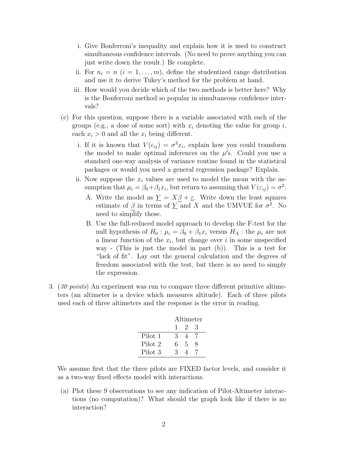- i. Give Bonferroni's inequality and explain how it is used to construct simultaneous confidence intervals. (No need to prove anything you can just write down the result.) Be complete.
- ii. For  $n_i = n$   $(i = 1, ..., m)$ , define the studentized range distribution and use it to derive Tukey's method for the problem at hand.
- iii. How would you decide which of the two methods is better here? Why is the Bonferroni method so popular in simultaneous confidence intervals?
- (e) For this question, suppose there is a variable associated with each of the groups (e.g., a dose of some sort) with  $x_i$  denoting the value for group i, each  $x_i > 0$  and all the  $x_i$  being different.
	- i. If it is known that  $V(\epsilon_{ij}) = \sigma^2 x_i$ , explain how you could transform the model to make optimal inferences on the  $\mu$ 's. Could you use a standard one-way analysis of variance routine found in the statistical packages or would you need a general regression package? Explain.
	- ii. Now suppose the  $x_i$  values are used to model the mean with the assumption that  $\mu_i = \beta_0 + \beta_1 x_i$ , but return to assuming that  $V(\varepsilon_{ij}) = \sigma^2$ .
		- A. Write the model as  $\underline{Y} = X\underline{\beta} + \underline{\varepsilon}$ . Write down the least squares estimate of  $\beta$  in terms of  $\underline{Y}$  and X and the UMVUE for  $\sigma^2$ . No need to simplify these.
		- B. Use the full-reduced model approach to develop the F-test for the null hypothesis of  $H_0$ :  $\mu_i = \beta_0 + \beta_1 x_i$  versus  $H_A$ : the  $\mu_i$  are not a linear function of the  $x_i$ , but change over i in some unspecified way - (This is just the model in part (b)). This is a test for "lack of fit". Lay out the general calculation and the degrees of freedom associated with the test, but there is no need to simply the expression.
- 3. (30 points) An experiment was run to compare three different primitive altimeters (an altimeter is a device which measures altitude). Each of three pilots used each of three altimeters and the response is the error in reading.

|         | Altimeter |     |                |
|---------|-----------|-----|----------------|
|         |           | 123 |                |
| Pilot 1 | 3         | 4   | $\overline{7}$ |
| Pilot 2 | 6.        | 5   | 8              |
| Pilot 3 | 3         |     |                |

We assume first that the three pilots are FIXED factor levels, and consider it as a two-way fixed effects model with interactions.

(a) Plot these 9 observations to see any indication of Pilot-Altimeter interactions (no computation)? What should the graph look like if there is no interaction?